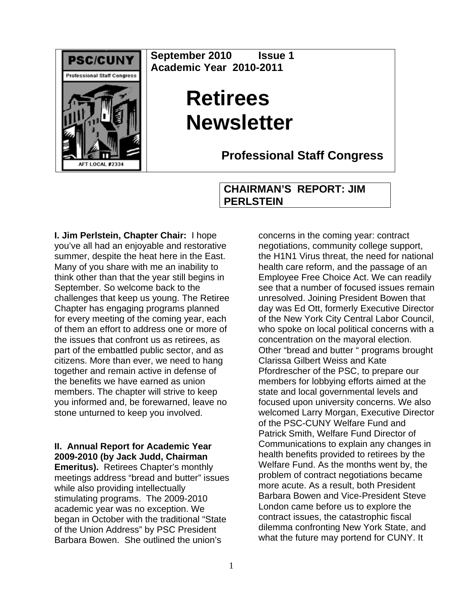

**September 2010 Issue 1 Academic Year 2010-2011** 

# **Retirees Newsletter**

**Professional Staff Congress**

## **CHAIRMAN'S REPORT: JIM PERLSTEIN**

**I. Jim Perlstein, Chapter Chair:** I hope you've all had an enjoyable and restorative summer, despite the heat here in the East. Many of you share with me an inability to think other than that the year still begins in September. So welcome back to the challenges that keep us young. The Retiree Chapter has engaging programs planned for every meeting of the coming year, each of them an effort to address one or more of the issues that confront us as retirees, as part of the embattled public sector, and as citizens. More than ever, we need to hang together and remain active in defense of the benefits we have earned as union members. The chapter will strive to keep you informed and, be forewarned, leave no stone unturned to keep you involved.

## **II. Annual Report for Academic Year 2009-2010 (by Jack Judd, Chairman**

**Emeritus).** Retirees Chapter's monthly meetings address "bread and butter" issues while also providing intellectually stimulating programs. The 2009-2010 academic year was no exception. We began in October with the traditional "State of the Union Address" by PSC President Barbara Bowen. She outlined the union's

concerns in the coming year: contract negotiations, community college support, the H1N1 Virus threat, the need for national health care reform, and the passage of an Employee Free Choice Act. We can readily see that a number of focused issues remain unresolved. Joining President Bowen that day was Ed Ott, formerly Executive Director of the New York City Central Labor Council, who spoke on local political concerns with a concentration on the mayoral election. Other "bread and butter " programs brought Clarissa Gilbert Weiss and Kate Pfordrescher of the PSC, to prepare our members for lobbying efforts aimed at the state and local governmental levels and focused upon university concerns. We also welcomed Larry Morgan, Executive Director of the PSC-CUNY Welfare Fund and Patrick Smith, Welfare Fund Director of Communications to explain any changes in health benefits provided to retirees by the Welfare Fund. As the months went by, the problem of contract negotiations became more acute. As a result, both President Barbara Bowen and Vice-President Steve London came before us to explore the contract issues, the catastrophic fiscal dilemma confronting New York State, and what the future may portend for CUNY. It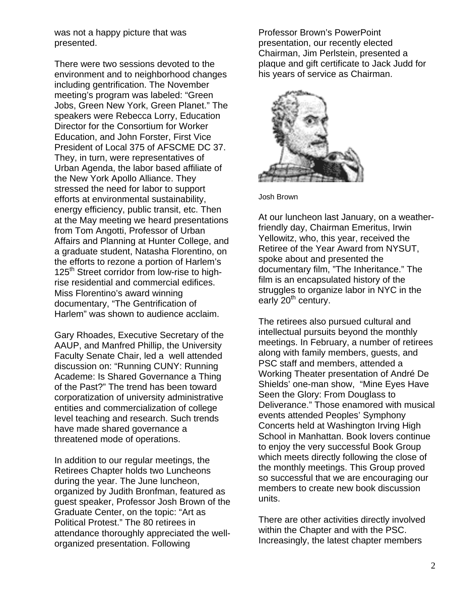was not a happy picture that was presented.

There were two sessions devoted to the environment and to neighborhood changes including gentrification. The November meeting's program was labeled: "Green Jobs, Green New York, Green Planet." The speakers were Rebecca Lorry, Education Director for the Consortium for Worker Education, and John Forster, First Vice President of Local 375 of AFSCME DC 37. They, in turn, were representatives of Urban Agenda, the labor based affiliate of the New York Apollo Alliance. They stressed the need for labor to support efforts at environmental sustainability, energy efficiency, public transit, etc. Then at the May meeting we heard presentations from Tom Angotti, Professor of Urban Affairs and Planning at Hunter College, and a graduate student, Natasha Florentino, on the efforts to rezone a portion of Harlem's 125<sup>th</sup> Street corridor from low-rise to highrise residential and commercial edifices. Miss Florentino's award winning documentary, "The Gentrification of Harlem" was shown to audience acclaim.

Gary Rhoades, Executive Secretary of the AAUP, and Manfred Phillip, the University Faculty Senate Chair, led a well attended discussion on: "Running CUNY: Running Academe: Is Shared Governance a Thing of the Past?" The trend has been toward corporatization of university administrative entities and commercialization of college level teaching and research. Such trends have made shared governance a threatened mode of operations.

In addition to our regular meetings, the Retirees Chapter holds two Luncheons during the year. The June luncheon, organized by Judith Bronfman, featured as guest speaker, Professor Josh Brown of the Graduate Center, on the topic: "Art as Political Protest." The 80 retirees in attendance thoroughly appreciated the wellorganized presentation. Following

Professor Brown's PowerPoint presentation, our recently elected Chairman, Jim Perlstein, presented a plaque and gift certificate to Jack Judd for his years of service as Chairman.



Josh Brown

At our luncheon last January, on a weatherfriendly day, Chairman Emeritus, Irwin Yellowitz, who, this year, received the Retiree of the Year Award from NYSUT, spoke about and presented the documentary film, "The Inheritance." The film is an encapsulated history of the struggles to organize labor in NYC in the early 20<sup>th</sup> century.

The retirees also pursued cultural and intellectual pursuits beyond the monthly meetings. In February, a number of retirees along with family members, guests, and PSC staff and members, attended a Working Theater presentation of André De Shields' one-man show, "Mine Eyes Have Seen the Glory: From Douglass to Deliverance." Those enamored with musical events attended Peoples' Symphony Concerts held at Washington Irving High School in Manhattan. Book lovers continue to enjoy the very successful Book Group which meets directly following the close of the monthly meetings. This Group proved so successful that we are encouraging our members to create new book discussion units.

There are other activities directly involved within the Chapter and with the PSC. Increasingly, the latest chapter members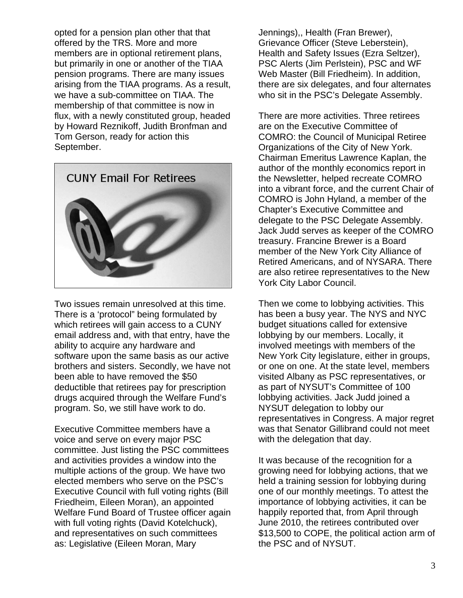opted for a pension plan other that that offered by the TRS. More and more members are in optional retirement plans, but primarily in one or another of the TIAA pension programs. There are many issues arising from the TIAA programs. As a result, we have a sub-committee on TIAA. The membership of that committee is now in flux, with a newly constituted group, headed by Howard Reznikoff, Judith Bronfman and Tom Gerson, ready for action this September.



Two issues remain unresolved at this time. There is a 'protocol" being formulated by which retirees will gain access to a CUNY email address and, with that entry, have the ability to acquire any hardware and software upon the same basis as our active brothers and sisters. Secondly, we have not been able to have removed the \$50 deductible that retirees pay for prescription drugs acquired through the Welfare Fund's program. So, we still have work to do.

Executive Committee members have a voice and serve on every major PSC committee. Just listing the PSC committees and activities provides a window into the multiple actions of the group. We have two elected members who serve on the PSC's Executive Council with full voting rights (Bill Friedheim, Eileen Moran), an appointed Welfare Fund Board of Trustee officer again with full voting rights (David Kotelchuck), and representatives on such committees as: Legislative (Eileen Moran, Mary

Jennings),, Health (Fran Brewer), Grievance Officer (Steve Leberstein), Health and Safety Issues (Ezra Seltzer), PSC Alerts (Jim Perlstein), PSC and WF Web Master (Bill Friedheim). In addition, there are six delegates, and four alternates who sit in the PSC's Delegate Assembly.

There are more activities. Three retirees are on the Executive Committee of COMRO: the Council of Municipal Retiree Organizations of the City of New York. Chairman Emeritus Lawrence Kaplan, the author of the monthly economics report in the Newsletter, helped recreate COMRO into a vibrant force, and the current Chair of COMRO is John Hyland, a member of the Chapter's Executive Committee and delegate to the PSC Delegate Assembly. Jack Judd serves as keeper of the COMRO treasury. Francine Brewer is a Board member of the New York City Alliance of Retired Americans, and of NYSARA. There are also retiree representatives to the New York City Labor Council.

Then we come to lobbying activities. This has been a busy year. The NYS and NYC budget situations called for extensive lobbying by our members. Locally, it involved meetings with members of the New York City legislature, either in groups, or one on one. At the state level, members visited Albany as PSC representatives, or as part of NYSUT's Committee of 100 lobbying activities. Jack Judd joined a NYSUT delegation to lobby our representatives in Congress. A major regret was that Senator Gillibrand could not meet with the delegation that day.

It was because of the recognition for a growing need for lobbying actions, that we held a training session for lobbying during one of our monthly meetings. To attest the importance of lobbying activities, it can be happily reported that, from April through June 2010, the retirees contributed over \$13,500 to COPE, the political action arm of the PSC and of NYSUT.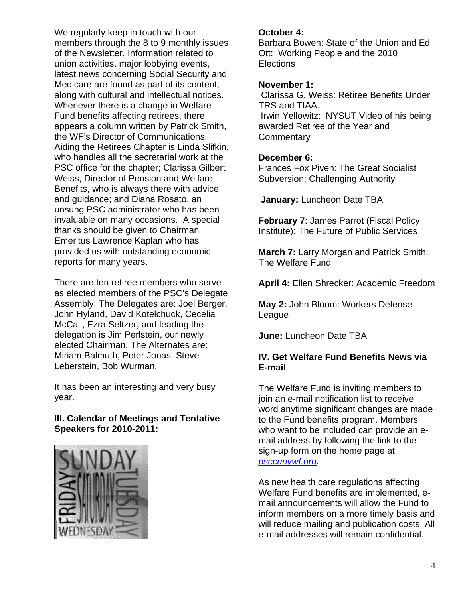We regularly keep in touch with our members through the 8 to 9 monthly issues of the Newsletter. Information related to union activities, major lobbying events, latest news concerning Social Security and Medicare are found as part of its content, along with cultural and intellectual notices. Whenever there is a change in Welfare Fund benefits affecting retirees, there appears a column written by Patrick Smith, the WF's Director of Communications. Aiding the Retirees Chapter is Linda Slifkin, who handles all the secretarial work at the PSC office for the chapter; Clarissa Gilbert Weiss, Director of Pension and Welfare Benefits, who is always there with advice and guidance; and Diana Rosato, an unsung PSC administrator who has been invaluable on many occasions. A special thanks should be given to Chairman Emeritus Lawrence Kaplan who has provided us with outstanding economic reports for many years.

There are ten retiree members who serve as elected members of the PSC's Delegate Assembly: The Delegates are: Joel Berger, John Hyland, David Kotelchuck, Cecelia McCall, Ezra Seltzer, and leading the delegation is Jim Perlstein, our newly elected Chairman. The Alternates are: Miriam Balmuth, Peter Jonas. Steve Leberstein, Bob Wurman.

It has been an interesting and very busy year.

## **III. Calendar of Meetings and Tentative Speakers for 2010-2011:**



#### **October 4:**

Barbara Bowen: State of the Union and Ed Ott: Working People and the 2010 **Elections** 

#### **November 1:**

 Clarissa G. Weiss: Retiree Benefits Under TRS and TIAA. Irwin Yellowitz: NYSUT Video of his being awarded Retiree of the Year and **Commentary** 

#### **December 6:**

Frances Fox Piven: The Great Socialist Subversion: Challenging Authority

**January:** Luncheon Date TBA

**February 7**: James Parrot (Fiscal Policy Institute): The Future of Public Services

**March 7:** Larry Morgan and Patrick Smith: The Welfare Fund

**April 4:** Ellen Shrecker: Academic Freedom

**May 2:** John Bloom: Workers Defense League

**June:** Luncheon Date TBA

## **IV. Get Welfare Fund Benefits News via E-mail**

The Welfare Fund is inviting members to join an e-mail notification list to receive word anytime significant changes are made to the Fund benefits program. Members who want to be included can provide an email address by following the link to the sign-up form on the home page at *psccunywf.org*.

As new health care regulations affecting Welfare Fund benefits are implemented, email announcements will allow the Fund to inform members on a more timely basis and will reduce mailing and publication costs. All e-mail addresses will remain confidential.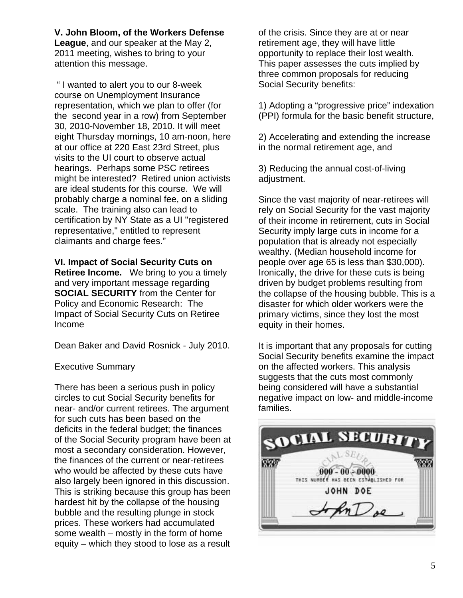**V. John Bloom, of the Workers Defense League**, and our speaker at the May 2, 2011 meeting, wishes to bring to your attention this message.

 " I wanted to alert you to our 8-week course on Unemployment Insurance representation, which we plan to offer (for the second year in a row) from September 30, 2010-November 18, 2010. It will meet eight Thursday mornings, 10 am-noon, here at our office at 220 East 23rd Street, plus visits to the UI court to observe actual hearings. Perhaps some PSC retirees might be interested? Retired union activists are ideal students for this course. We will probably charge a nominal fee, on a sliding scale. The training also can lead to certification by NY State as a UI "registered representative," entitled to represent claimants and charge fees."

**VI. Impact of Social Security Cuts on Retiree Income.** We bring to you a timely and very important message regarding **SOCIAL SECURITY** from the Center for Policy and Economic Research: The Impact of Social Security Cuts on Retiree Income

Dean Baker and David Rosnick - July 2010.

#### Executive Summary

There has been a serious push in policy circles to cut Social Security benefits for near- and/or current retirees. The argument for such cuts has been based on the deficits in the federal budget; the finances of the Social Security program have been at most a secondary consideration. However, the finances of the current or near-retirees who would be affected by these cuts have also largely been ignored in this discussion. This is striking because this group has been hardest hit by the collapse of the housing bubble and the resulting plunge in stock prices. These workers had accumulated some wealth – mostly in the form of home equity – which they stood to lose as a result

of the crisis. Since they are at or near retirement age, they will have little opportunity to replace their lost wealth. This paper assesses the cuts implied by three common proposals for reducing Social Security benefits:

1) Adopting a "progressive price" indexation (PPI) formula for the basic benefit structure,

2) Accelerating and extending the increase in the normal retirement age, and

3) Reducing the annual cost-of-living adjustment.

Since the vast majority of near-retirees will rely on Social Security for the vast majority of their income in retirement, cuts in Social Security imply large cuts in income for a population that is already not especially wealthy. (Median household income for people over age 65 is less than \$30,000). Ironically, the drive for these cuts is being driven by budget problems resulting from the collapse of the housing bubble. This is a disaster for which older workers were the primary victims, since they lost the most equity in their homes.

It is important that any proposals for cutting Social Security benefits examine the impact on the affected workers. This analysis suggests that the cuts most commonly being considered will have a substantial negative impact on low- and middle-income families.